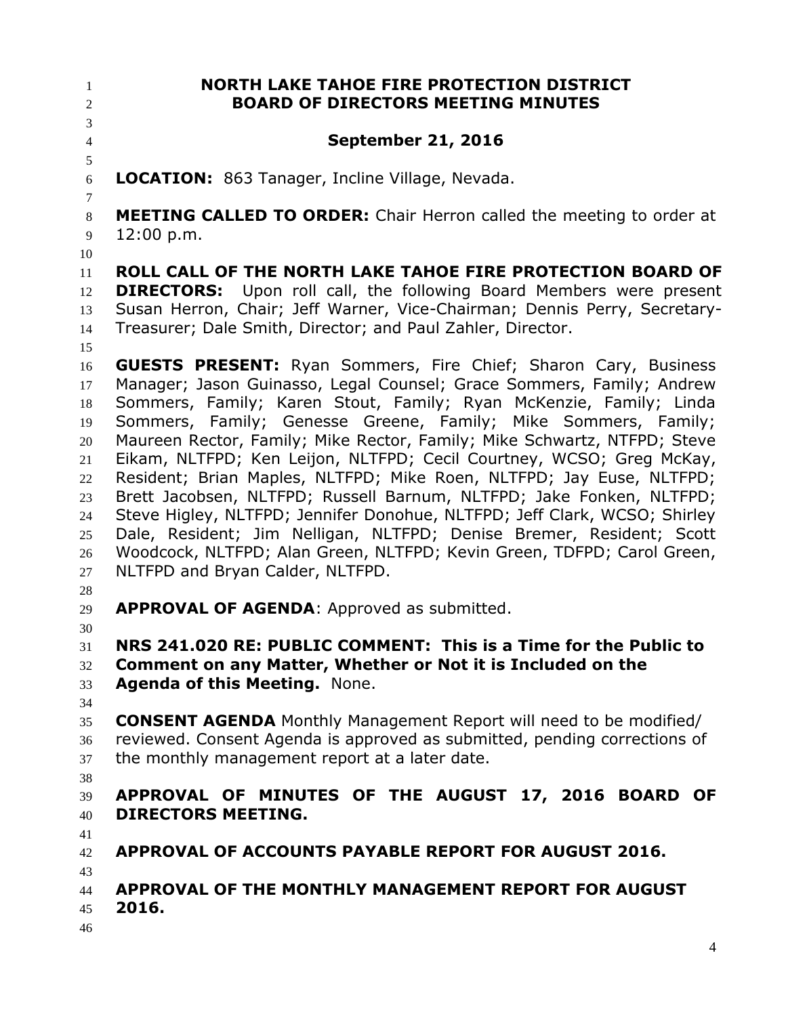**NORTH LAKE TAHOE FIRE PROTECTION DISTRICT BOARD OF DIRECTORS MEETING MINUTES September 21, 2016 LOCATION:** 863 Tanager, Incline Village, Nevada. **MEETING CALLED TO ORDER:** Chair Herron called the meeting to order at 12:00 p.m. **ROLL CALL OF THE NORTH LAKE TAHOE FIRE PROTECTION BOARD OF DIRECTORS:** Upon roll call, the following Board Members were present Susan Herron, Chair; Jeff Warner, Vice-Chairman; Dennis Perry, Secretary- Treasurer; Dale Smith, Director; and Paul Zahler, Director. **GUESTS PRESENT:** Ryan Sommers, Fire Chief; Sharon Cary, Business Manager; Jason Guinasso, Legal Counsel; Grace Sommers, Family; Andrew Sommers, Family; Karen Stout, Family; Ryan McKenzie, Family; Linda Sommers, Family; Genesse Greene, Family; Mike Sommers, Family; Maureen Rector, Family; Mike Rector, Family; Mike Schwartz, NTFPD; Steve Eikam, NLTFPD; Ken Leijon, NLTFPD; Cecil Courtney, WCSO; Greg McKay, Resident; Brian Maples, NLTFPD; Mike Roen, NLTFPD; Jay Euse, NLTFPD; Brett Jacobsen, NLTFPD; Russell Barnum, NLTFPD; Jake Fonken, NLTFPD; Steve Higley, NLTFPD; Jennifer Donohue, NLTFPD; Jeff Clark, WCSO; Shirley Dale, Resident; Jim Nelligan, NLTFPD; Denise Bremer, Resident; Scott Woodcock, NLTFPD; Alan Green, NLTFPD; Kevin Green, TDFPD; Carol Green, NLTFPD and Bryan Calder, NLTFPD. **APPROVAL OF AGENDA**: Approved as submitted. **NRS 241.020 RE: PUBLIC COMMENT: This is a Time for the Public to Comment on any Matter, Whether or Not it is Included on the Agenda of this Meeting.** None. **CONSENT AGENDA** Monthly Management Report will need to be modified/ reviewed. Consent Agenda is approved as submitted, pending corrections of the monthly management report at a later date. **APPROVAL OF MINUTES OF THE AUGUST 17, 2016 BOARD OF DIRECTORS MEETING. APPROVAL OF ACCOUNTS PAYABLE REPORT FOR AUGUST 2016. APPROVAL OF THE MONTHLY MANAGEMENT REPORT FOR AUGUST 2016.**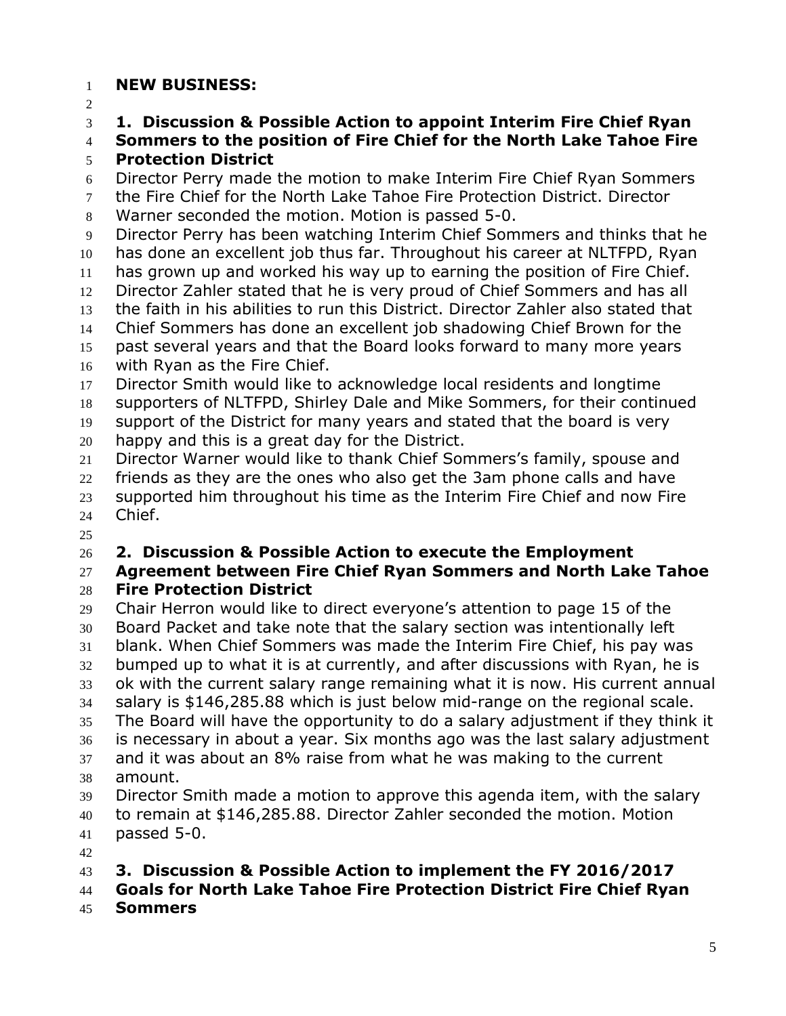## **NEW BUSINESS:**

**1. Discussion & Possible Action to appoint Interim Fire Chief Ryan** 

 **Sommers to the position of Fire Chief for the North Lake Tahoe Fire Protection District**

Director Perry made the motion to make Interim Fire Chief Ryan Sommers

 the Fire Chief for the North Lake Tahoe Fire Protection District. Director Warner seconded the motion. Motion is passed 5-0.

 Director Perry has been watching Interim Chief Sommers and thinks that he has done an excellent job thus far. Throughout his career at NLTFPD, Ryan

 has grown up and worked his way up to earning the position of Fire Chief. Director Zahler stated that he is very proud of Chief Sommers and has all

the faith in his abilities to run this District. Director Zahler also stated that

Chief Sommers has done an excellent job shadowing Chief Brown for the

past several years and that the Board looks forward to many more years

with Ryan as the Fire Chief.

Director Smith would like to acknowledge local residents and longtime

supporters of NLTFPD, Shirley Dale and Mike Sommers, for their continued

 support of the District for many years and stated that the board is very happy and this is a great day for the District.

Director Warner would like to thank Chief Sommers's family, spouse and

22 friends as they are the ones who also get the 3am phone calls and have

 supported him throughout his time as the Interim Fire Chief and now Fire Chief.

## **2. Discussion & Possible Action to execute the Employment**

## **Agreement between Fire Chief Ryan Sommers and North Lake Tahoe Fire Protection District**

 Chair Herron would like to direct everyone's attention to page 15 of the Board Packet and take note that the salary section was intentionally left blank. When Chief Sommers was made the Interim Fire Chief, his pay was bumped up to what it is at currently, and after discussions with Ryan, he is ok with the current salary range remaining what it is now. His current annual salary is \$146,285.88 which is just below mid-range on the regional scale. The Board will have the opportunity to do a salary adjustment if they think it is necessary in about a year. Six months ago was the last salary adjustment and it was about an 8% raise from what he was making to the current amount. Director Smith made a motion to approve this agenda item, with the salary to remain at \$146,285.88. Director Zahler seconded the motion. Motion

passed 5-0.

## **3. Discussion & Possible Action to implement the FY 2016/2017**

**Goals for North Lake Tahoe Fire Protection District Fire Chief Ryan** 

**Sommers**